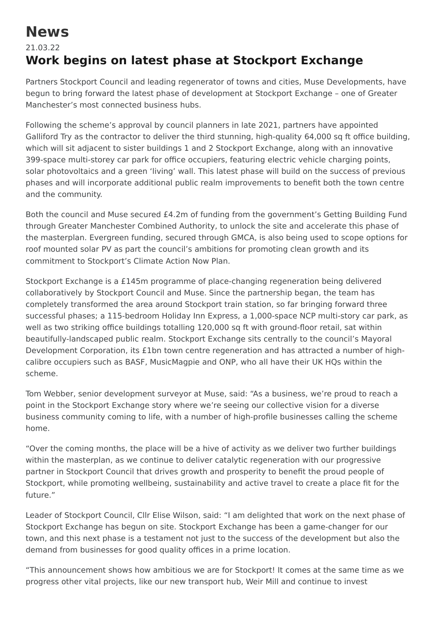## **News**

## 21.03.22 **Work begins on latest phase at Stockport Exchange**

Partners Stockport Council and leading regenerator of towns and cities, Muse Developments, have begun to bring forward the latest phase of development at Stockport Exchange – one of Greater Manchester's most connected business hubs.

Following the scheme's approval by council planners in late 2021, partners have appointed Galliford Try as the contractor to deliver the third stunning, high-quality 64,000 sq ft office building, which will sit adjacent to sister buildings 1 and 2 Stockport Exchange, along with an innovative 399-space multi-storey car park for office occupiers, featuring electric vehicle charging points, solar photovoltaics and a green 'living' wall. This latest phase will build on the success of previous phases and will incorporate additional public realm improvements to benefit both the town centre and the community.

Both the council and Muse secured £4.2m of funding from the government's Getting Building Fund through Greater Manchester Combined Authority, to unlock the site and accelerate this phase of the masterplan. Evergreen funding, secured through GMCA, is also being used to scope options for roof mounted solar PV as part the council's ambitions for promoting clean growth and its commitment to Stockport's Climate Action Now Plan.

Stockport Exchange is a £145m programme of place-changing regeneration being delivered collaboratively by Stockport Council and Muse. Since the partnership began, the team has completely transformed the area around Stockport train station, so far bringing forward three successful phases; a 115-bedroom Holiday Inn Express, a 1,000-space NCP multi-story car park, as well as two striking office buildings totalling 120,000 sq ft with ground-floor retail, sat within beautifully-landscaped public realm. Stockport Exchange sits centrally to the council's Mayoral Development Corporation, its £1bn town centre regeneration and has attracted a number of highcalibre occupiers such as BASF, MusicMagpie and ONP, who all have their UK HQs within the scheme.

Tom Webber, senior development surveyor at Muse, said: "As a business, we're proud to reach a point in the Stockport Exchange story where we're seeing our collective vision for a diverse business community coming to life, with a number of high-profile businesses calling the scheme home.

"Over the coming months, the place will be a hive of activity as we deliver two further buildings within the masterplan, as we continue to deliver catalytic regeneration with our progressive partner in Stockport Council that drives growth and prosperity to benefit the proud people of Stockport, while promoting wellbeing, sustainability and active travel to create a place fit for the future."

Leader of Stockport Council, Cllr Elise Wilson, said: "I am delighted that work on the next phase of Stockport Exchange has begun on site. Stockport Exchange has been a game-changer for our town, and this next phase is a testament not just to the success of the development but also the demand from businesses for good quality offices in a prime location.

"This announcement shows how ambitious we are for Stockport! It comes at the same time as we progress other vital projects, like our new transport hub, Weir Mill and continue to invest